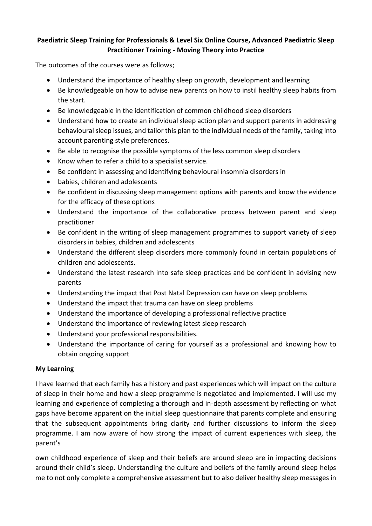## **Paediatric Sleep Training for Professionals & Level Six Online Course, Advanced Paediatric Sleep Practitioner Training - Moving Theory into Practice**

The outcomes of the courses were as follows;

- Understand the importance of healthy sleep on growth, development and learning
- Be knowledgeable on how to advise new parents on how to instil healthy sleep habits from the start.
- Be knowledgeable in the identification of common childhood sleep disorders
- Understand how to create an individual sleep action plan and support parents in addressing behavioural sleep issues, and tailor this plan to the individual needs of the family, taking into account parenting style preferences.
- Be able to recognise the possible symptoms of the less common sleep disorders
- Know when to refer a child to a specialist service.
- Be confident in assessing and identifying behavioural insomnia disorders in
- babies, children and adolescents
- Be confident in discussing sleep management options with parents and know the evidence for the efficacy of these options
- Understand the importance of the collaborative process between parent and sleep practitioner
- Be confident in the writing of sleep management programmes to support variety of sleep disorders in babies, children and adolescents
- Understand the different sleep disorders more commonly found in certain populations of children and adolescents.
- Understand the latest research into safe sleep practices and be confident in advising new parents
- Understanding the impact that Post Natal Depression can have on sleep problems
- Understand the impact that trauma can have on sleep problems
- Understand the importance of developing a professional reflective practice
- Understand the importance of reviewing latest sleep research
- Understand your professional responsibilities.
- Understand the importance of caring for yourself as a professional and knowing how to obtain ongoing support

## **My Learning**

I have learned that each family has a history and past experiences which will impact on the culture of sleep in their home and how a sleep programme is negotiated and implemented. I will use my learning and experience of completing a thorough and in-depth assessment by reflecting on what gaps have become apparent on the initial sleep questionnaire that parents complete and ensuring that the subsequent appointments bring clarity and further discussions to inform the sleep programme. I am now aware of how strong the impact of current experiences with sleep, the parent's

own childhood experience of sleep and their beliefs are around sleep are in impacting decisions around their child's sleep. Understanding the culture and beliefs of the family around sleep helps me to not only complete a comprehensive assessment but to also deliver healthy sleep messages in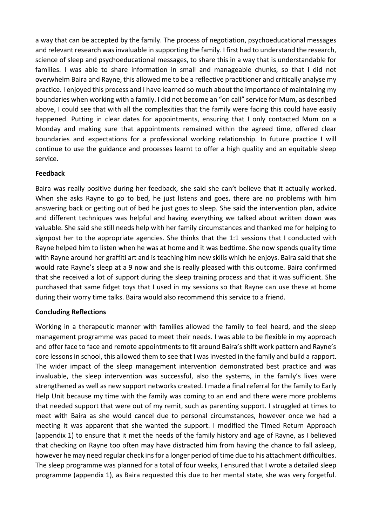a way that can be accepted by the family. The process of negotiation, psychoeducational messages and relevant research was invaluable in supporting the family. I first had to understand the research, science of sleep and psychoeducational messages, to share this in a way that is understandable for families. I was able to share information in small and manageable chunks, so that I did not overwhelm Baira and Rayne, this allowed me to be a reflective practitioner and critically analyse my practice. I enjoyed this process and I have learned so much about the importance of maintaining my boundaries when working with a family. I did not become an "on call" service for Mum, as described above, I could see that with all the complexities that the family were facing this could have easily happened. Putting in clear dates for appointments, ensuring that I only contacted Mum on a Monday and making sure that appointments remained within the agreed time, offered clear boundaries and expectations for a professional working relationship. In future practice I will continue to use the guidance and processes learnt to offer a high quality and an equitable sleep service.

## **Feedback**

Baira was really positive during her feedback, she said she can't believe that it actually worked. When she asks Rayne to go to bed, he just listens and goes, there are no problems with him answering back or getting out of bed he just goes to sleep. She said the intervention plan, advice and different techniques was helpful and having everything we talked about written down was valuable. She said she still needs help with her family circumstances and thanked me for helping to signpost her to the appropriate agencies. She thinks that the 1:1 sessions that I conducted with Rayne helped him to listen when he was at home and it was bedtime. She now spends quality time with Rayne around her graffiti art and is teaching him new skills which he enjoys. Baira said that she would rate Rayne's sleep at a 9 now and she is really pleased with this outcome. Baira confirmed that she received a lot of support during the sleep training process and that it was sufficient. She purchased that same fidget toys that I used in my sessions so that Rayne can use these at home during their worry time talks. Baira would also recommend this service to a friend.

## **Concluding Reflections**

Working in a therapeutic manner with families allowed the family to feel heard, and the sleep management programme was paced to meet their needs. I was able to be flexible in my approach and offer face to face and remote appointments to fit around Baira's shift work pattern and Rayne's core lessons in school, this allowed them to see that I was invested in the family and build a rapport. The wider impact of the sleep management intervention demonstrated best practice and was invaluable, the sleep intervention was successful, also the systems, in the family's lives were strengthened as well as new support networks created. I made a final referral for the family to Early Help Unit because my time with the family was coming to an end and there were more problems that needed support that were out of my remit, such as parenting support. I struggled at times to meet with Baira as she would cancel due to personal circumstances, however once we had a meeting it was apparent that she wanted the support. I modified the Timed Return Approach (appendix 1) to ensure that it met the needs of the family history and age of Rayne, as I believed that checking on Rayne too often may have distracted him from having the chance to fall asleep, however he may need regular check ins for a longer period of time due to his attachment difficulties. The sleep programme was planned for a total of four weeks, I ensured that I wrote a detailed sleep programme (appendix 1), as Baira requested this due to her mental state, she was very forgetful.